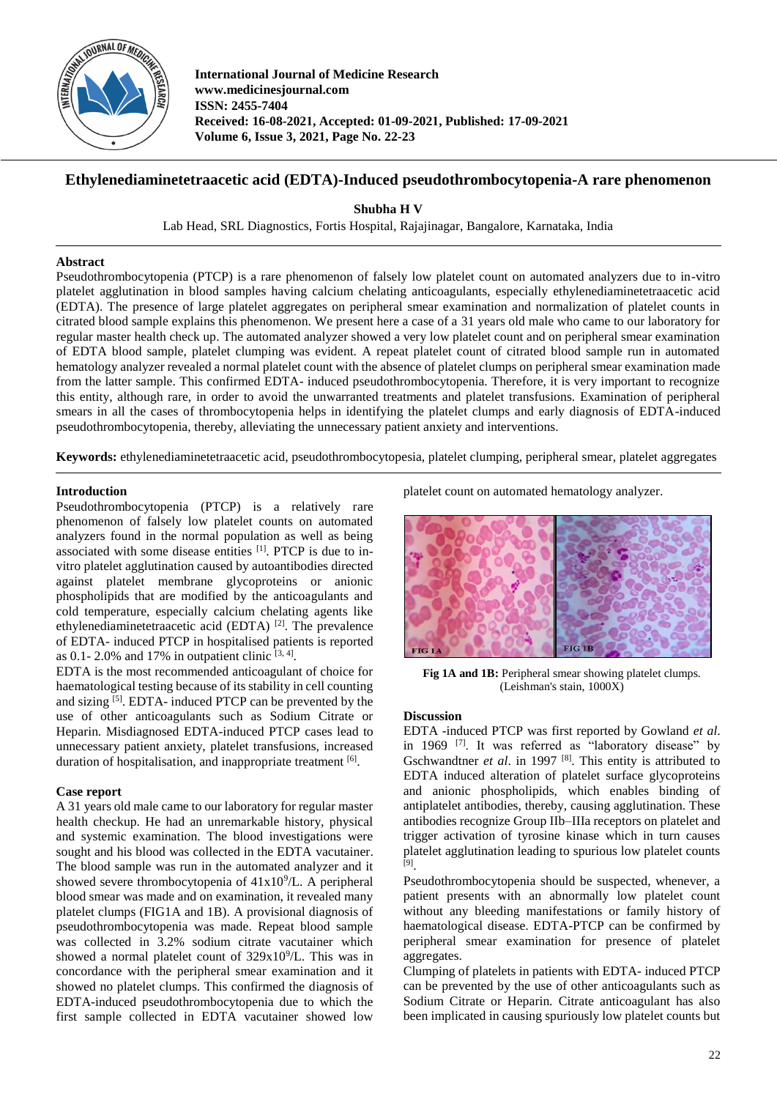

**International Journal of Medicine Research www.medicinesjournal.com ISSN: 2455-7404 Received: 16-08-2021, Accepted: 01-09-2021, Published: 17-09-2021 Volume 6, Issue 3, 2021, Page No. 22-23**

# **Ethylenediaminetetraacetic acid (EDTA)-Induced pseudothrombocytopenia-A rare phenomenon**

**Shubha H V**

Lab Head, SRL Diagnostics, Fortis Hospital, Rajajinagar, Bangalore, Karnataka, India

#### **Abstract**

Pseudothrombocytopenia (PTCP) is a rare phenomenon of falsely low platelet count on automated analyzers due to in-vitro platelet agglutination in blood samples having calcium chelating anticoagulants, especially ethylenediaminetetraacetic acid (EDTA). The presence of large platelet aggregates on peripheral smear examination and normalization of platelet counts in citrated blood sample explains this phenomenon. We present here a case of a 31 years old male who came to our laboratory for regular master health check up. The automated analyzer showed a very low platelet count and on peripheral smear examination of EDTA blood sample, platelet clumping was evident. A repeat platelet count of citrated blood sample run in automated hematology analyzer revealed a normal platelet count with the absence of platelet clumps on peripheral smear examination made from the latter sample. This confirmed EDTA- induced pseudothrombocytopenia. Therefore, it is very important to recognize this entity, although rare, in order to avoid the unwarranted treatments and platelet transfusions. Examination of peripheral smears in all the cases of thrombocytopenia helps in identifying the platelet clumps and early diagnosis of EDTA-induced pseudothrombocytopenia, thereby, alleviating the unnecessary patient anxiety and interventions.

**Keywords:** ethylenediaminetetraacetic acid, pseudothrombocytopesia, platelet clumping, peripheral smear, platelet aggregates

### **Introduction**

Pseudothrombocytopenia (PTCP) is a relatively rare phenomenon of falsely low platelet counts on automated analyzers found in the normal population as well as being associated with some disease entities [1]. PTCP is due to invitro platelet agglutination caused by autoantibodies directed against platelet membrane glycoproteins or anionic phospholipids that are modified by the anticoagulants and cold temperature, especially calcium chelating agents like ethylenediaminetetraacetic acid (EDTA) [2]. The prevalence of EDTA- induced PTCP in hospitalised patients is reported as 0.1- 2.0% and 17% in outpatient clinic  $[3, 4]$ .

EDTA is the most recommended anticoagulant of choice for haematological testing because of its stability in cell counting and sizing [5]. EDTA- induced PTCP can be prevented by the use of other anticoagulants such as Sodium Citrate or Heparin. Misdiagnosed EDTA-induced PTCP cases lead to unnecessary patient anxiety, platelet transfusions, increased duration of hospitalisation, and inappropriate treatment [6].

#### **Case report**

A 31 years old male came to our laboratory for regular master health checkup. He had an unremarkable history, physical and systemic examination. The blood investigations were sought and his blood was collected in the EDTA vacutainer. The blood sample was run in the automated analyzer and it showed severe thrombocytopenia of  $41x10<sup>9</sup>/L$ . A peripheral blood smear was made and on examination, it revealed many platelet clumps (FIG1A and 1B). A provisional diagnosis of pseudothrombocytopenia was made. Repeat blood sample was collected in 3.2% sodium citrate vacutainer which showed a normal platelet count of  $329x10^9$ /L. This was in concordance with the peripheral smear examination and it showed no platelet clumps. This confirmed the diagnosis of EDTA-induced pseudothrombocytopenia due to which the first sample collected in EDTA vacutainer showed low

platelet count on automated hematology analyzer.



Fig 1A and 1B: Peripheral smear showing platelet clumps. (Leishman's stain, 1000X)

#### **Discussion**

EDTA -induced PTCP was first reported by Gowland *et al*. in 1969 [7]. It was referred as "laboratory disease" by Gschwandtner *et al.* in 1997<sup>[8]</sup>. This entity is attributed to EDTA induced alteration of platelet surface glycoproteins and anionic phospholipids, which enables binding of antiplatelet antibodies, thereby, causing agglutination. These antibodies recognize Group IIb–IIIa receptors on platelet and trigger activation of tyrosine kinase which in turn causes platelet agglutination leading to spurious low platelet counts [9] .

Pseudothrombocytopenia should be suspected, whenever, a patient presents with an abnormally low platelet count without any bleeding manifestations or family history of haematological disease. EDTA-PTCP can be confirmed by peripheral smear examination for presence of platelet aggregates.

Clumping of platelets in patients with EDTA- induced PTCP can be prevented by the use of other anticoagulants such as Sodium Citrate or Heparin. Citrate anticoagulant has also been implicated in causing spuriously low platelet counts but